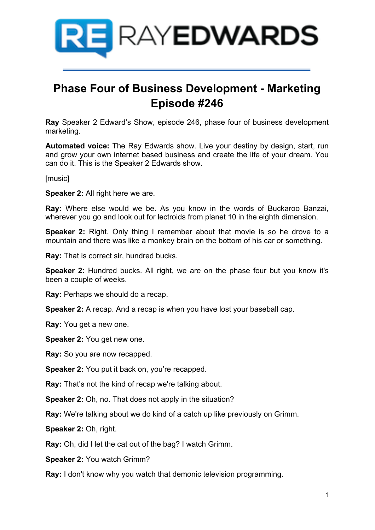

# **Phase Four of Business Development - Marketing Episode #246**

**Ray** Speaker 2 Edward's Show, episode 246, phase four of business development marketing.

**Automated voice:** The Ray Edwards show. Live your destiny by design, start, run and grow your own internet based business and create the life of your dream. You can do it. This is the Speaker 2 Edwards show.

**[music]** 

**Speaker 2:** All right here we are.

**Ray:** Where else would we be. As you know in the words of Buckaroo Banzai, wherever you go and look out for lectroids from planet 10 in the eighth dimension.

**Speaker 2:** Right. Only thing I remember about that movie is so he drove to a mountain and there was like a monkey brain on the bottom of his car or something.

**Ray:** That is correct sir, hundred bucks.

**Speaker 2:** Hundred bucks. All right, we are on the phase four but you know it's been a couple of weeks.

**Ray:** Perhaps we should do a recap.

**Speaker 2:** A recap. And a recap is when you have lost your baseball cap.

**Ray:** You get a new one.

**Speaker 2:** You get new one.

**Ray:** So you are now recapped.

**Speaker 2:** You put it back on, you're recapped.

**Ray:** That's not the kind of recap we're talking about.

**Speaker 2:** Oh, no. That does not apply in the situation?

**Ray:** We're talking about we do kind of a catch up like previously on Grimm.

**Speaker 2:** Oh, right.

**Ray:** Oh, did I let the cat out of the bag? I watch Grimm.

**Speaker 2:** You watch Grimm?

**Ray:** I don't know why you watch that demonic television programming.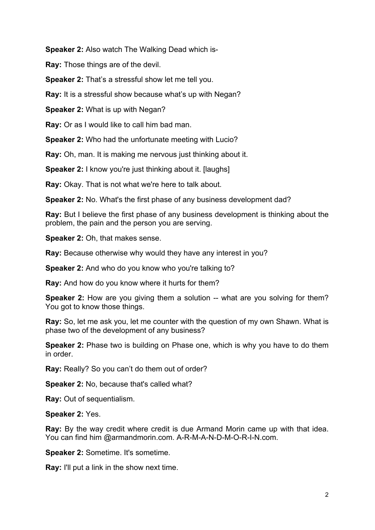**Speaker 2:** Also watch The Walking Dead which is-

**Ray:** Those things are of the devil.

**Speaker 2:** That's a stressful show let me tell you.

**Ray:** It is a stressful show because what's up with Negan?

**Speaker 2:** What is up with Negan?

**Ray:** Or as I would like to call him bad man.

**Speaker 2:** Who had the unfortunate meeting with Lucio?

**Ray:** Oh, man. It is making me nervous just thinking about it.

**Speaker 2:** I know you're just thinking about it. [laughs]

**Ray:** Okay. That is not what we're here to talk about.

**Speaker 2:** No. What's the first phase of any business development dad?

**Ray:** But I believe the first phase of any business development is thinking about the problem, the pain and the person you are serving.

**Speaker 2:** Oh, that makes sense.

**Ray:** Because otherwise why would they have any interest in you?

**Speaker 2:** And who do you know who you're talking to?

**Ray:** And how do you know where it hurts for them?

**Speaker 2:** How are you giving them a solution -- what are you solving for them? You got to know those things.

**Ray:** So, let me ask you, let me counter with the question of my own Shawn. What is phase two of the development of any business?

**Speaker 2:** Phase two is building on Phase one, which is why you have to do them in order.

**Ray:** Really? So you can't do them out of order?

**Speaker 2: No, because that's called what?** 

**Ray:** Out of sequentialism.

# **Speaker 2:** Yes.

**Ray:** By the way credit where credit is due Armand Morin came up with that idea. You can find him @armandmorin.com. A-R-M-A-N-D-M-O-R-I-N.com.

**Speaker 2:** Sometime. It's sometime.

**Ray:** I'll put a link in the show next time.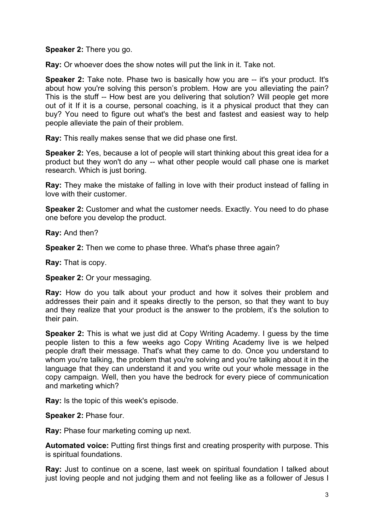**Speaker 2:** There you go.

**Ray:** Or whoever does the show notes will put the link in it. Take not.

**Speaker 2:** Take note. Phase two is basically how you are -- it's your product. It's about how you're solving this person's problem. How are you alleviating the pain? This is the stuff -- How best are you delivering that solution? Will people get more out of it If it is a course, personal coaching, is it a physical product that they can buy? You need to figure out what's the best and fastest and easiest way to help people alleviate the pain of their problem.

**Ray:** This really makes sense that we did phase one first.

**Speaker 2:** Yes, because a lot of people will start thinking about this great idea for a product but they won't do any -- what other people would call phase one is market research. Which is just boring.

**Ray:** They make the mistake of falling in love with their product instead of falling in love with their customer.

**Speaker 2:** Customer and what the customer needs. Exactly. You need to do phase one before you develop the product.

**Ray:** And then?

**Speaker 2:** Then we come to phase three. What's phase three again?

**Ray:** That is copy.

**Speaker 2:** Or your messaging.

**Ray:** How do you talk about your product and how it solves their problem and addresses their pain and it speaks directly to the person, so that they want to buy and they realize that your product is the answer to the problem, it's the solution to their pain.

**Speaker 2:** This is what we just did at Copy Writing Academy. I guess by the time people listen to this a few weeks ago Copy Writing Academy live is we helped people draft their message. That's what they came to do. Once you understand to whom you're talking, the problem that you're solving and you're talking about it in the language that they can understand it and you write out your whole message in the copy campaign. Well, then you have the bedrock for every piece of communication and marketing which?

**Ray:** Is the topic of this week's episode.

**Speaker 2:** Phase four.

**Ray:** Phase four marketing coming up next.

**Automated voice:** Putting first things first and creating prosperity with purpose. This is spiritual foundations.

**Ray:** Just to continue on a scene, last week on spiritual foundation I talked about just loving people and not judging them and not feeling like as a follower of Jesus I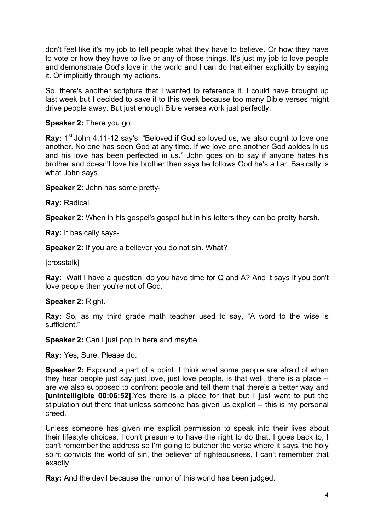don't feel like it's my job to tell people what they have to believe. Or how they have to vote or how they have to live or any of those things. It's just my job to love people and demonstrate God's love in the world and I can do that either explicitly by saying it. Or implicitly through my actions.

So, there's another scripture that I wanted to reference it. I could have brought up last week but I decided to save it to this week because too many Bible verses might drive people away. But just enough Bible verses work just perfectly.

**Speaker 2:** There you go.

**Ray:** 1<sup>st</sup> John 4:11-12 say's, "Beloved if God so loved us, we also ought to love one another. No one has seen God at any time. If we love one another God abides in us and his love has been perfected in us." John goes on to say if anyone hates his brother and doesn't love his brother then says he follows God he's a liar. Basically is what John says.

**Speaker 2:** John has some pretty-

**Ray:** Radical.

**Speaker 2:** When in his gospel's gospel but in his letters they can be pretty harsh.

**Ray:** It basically says-

**Speaker 2:** If you are a believer you do not sin. What?

[crosstalk]

**Ray:** Wait I have a question, do you have time for Q and A? And it says if you don't love people then you're not of God.

# **Speaker 2:** Right.

**Ray:** So, as my third grade math teacher used to say, "A word to the wise is sufficient."

**Speaker 2:** Can I just pop in here and maybe.

**Ray:** Yes, Sure. Please do.

**Speaker 2:** Expound a part of a point. I think what some people are afraid of when they hear people just say just love, just love people, is that well, there is a place - are we also supposed to confront people and tell them that there's a better way and **[unintelligible 00:06:52]**.Yes there is a place for that but I just want to put the stipulation out there that unless someone has given us explicit -- this is my personal creed.

Unless someone has given me explicit permission to speak into their lives about their lifestyle choices, I don't presume to have the right to do that. I goes back to, I can't remember the address so I'm going to butcher the verse where it says, the holy spirit convicts the world of sin, the believer of righteousness, I can't remember that exactly.

**Ray:** And the devil because the rumor of this world has been judged.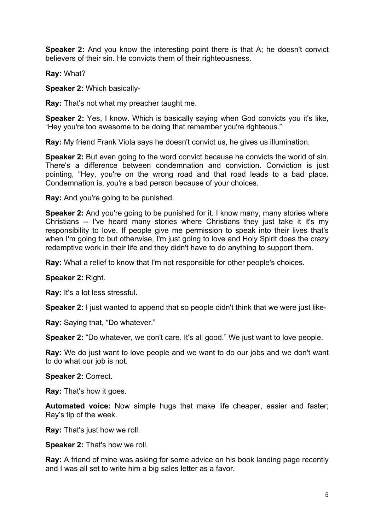**Speaker 2:** And you know the interesting point there is that A; he doesn't convict believers of their sin. He convicts them of their righteousness.

**Ray:** What?

**Speaker 2:** Which basically-

**Ray:** That's not what my preacher taught me.

**Speaker 2:** Yes, I know. Which is basically saying when God convicts you it's like, "Hey you're too awesome to be doing that remember you're righteous."

**Ray:** My friend Frank Viola says he doesn't convict us, he gives us illumination.

**Speaker 2:** But even going to the word convict because he convicts the world of sin. There's a difference between condemnation and conviction. Conviction is just pointing, "Hey, you're on the wrong road and that road leads to a bad place. Condemnation is, you're a bad person because of your choices.

**Ray:** And you're going to be punished.

**Speaker 2:** And you're going to be punished for it. I know many, many stories where Christians -- I've heard many stories where Christians they just take it it's my responsibility to love. If people give me permission to speak into their lives that's when I'm going to but otherwise, I'm just going to love and Holy Spirit does the crazy redemptive work in their life and they didn't have to do anything to support them.

**Ray:** What a relief to know that I'm not responsible for other people's choices.

**Speaker 2:** Right.

**Ray:** It's a lot less stressful.

**Speaker 2:** I just wanted to append that so people didn't think that we were just like-

**Ray:** Saying that, "Do whatever."

**Speaker 2:** "Do whatever, we don't care. It's all good." We just want to love people.

**Ray:** We do just want to love people and we want to do our jobs and we don't want to do what our job is not.

**Speaker 2:** Correct.

**Ray:** That's how it goes.

**Automated voice:** Now simple hugs that make life cheaper, easier and faster; Ray's tip of the week.

**Ray:** That's just how we roll.

**Speaker 2:** That's how we roll.

**Ray:** A friend of mine was asking for some advice on his book landing page recently and I was all set to write him a big sales letter as a favor.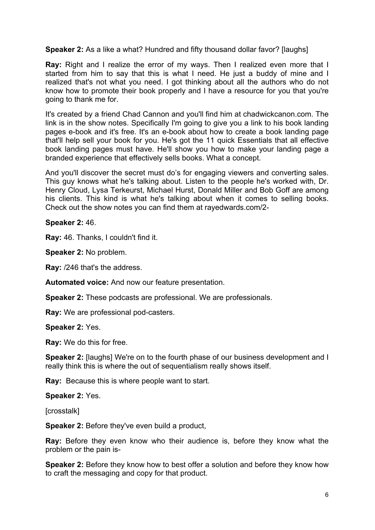**Speaker 2:** As a like a what? Hundred and fifty thousand dollar favor? [laughs]

**Ray:** Right and I realize the error of my ways. Then I realized even more that I started from him to say that this is what I need. He just a buddy of mine and I realized that's not what you need. I got thinking about all the authors who do not know how to promote their book properly and I have a resource for you that you're going to thank me for.

It's created by a friend Chad Cannon and you'll find him at chadwickcanon.com. The link is in the show notes. Specifically I'm going to give you a link to his book landing pages e-book and it's free. It's an e-book about how to create a book landing page that'll help sell your book for you. He's got the 11 quick Essentials that all effective book landing pages must have. He'll show you how to make your landing page a branded experience that effectively sells books. What a concept.

And you'll discover the secret must do's for engaging viewers and converting sales. This guy knows what he's talking about. Listen to the people he's worked with, Dr. Henry Cloud, Lysa Terkeurst, Michael Hurst, Donald Miller and Bob Goff are among his clients. This kind is what he's talking about when it comes to selling books. Check out the show notes you can find them at rayedwards.com/2-

**Speaker 2:** 46.

**Ray:** 46. Thanks, I couldn't find it.

**Speaker 2:** No problem.

**Ray:** /246 that's the address.

**Automated voice:** And now our feature presentation.

**Speaker 2:** These podcasts are professional. We are professionals.

**Ray:** We are professional pod-casters.

**Speaker 2:** Yes.

**Ray:** We do this for free.

**Speaker 2:** [laughs] We're on to the fourth phase of our business development and I really think this is where the out of sequentialism really shows itself.

**Ray:** Because this is where people want to start.

**Speaker 2:** Yes.

[crosstalk]

**Speaker 2:** Before they've even build a product,

**Ray:** Before they even know who their audience is, before they know what the problem or the pain is-

**Speaker 2:** Before they know how to best offer a solution and before they know how to craft the messaging and copy for that product.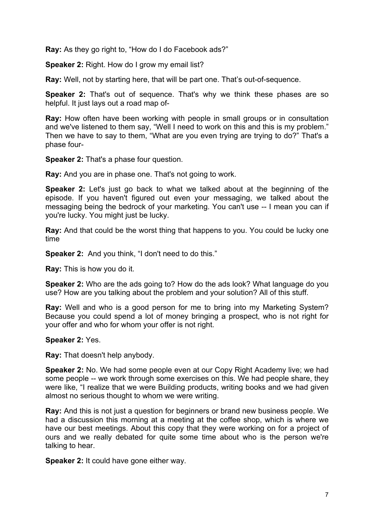**Ray:** As they go right to, "How do I do Facebook ads?"

**Speaker 2:** Right. How do I grow my email list?

**Ray:** Well, not by starting here, that will be part one. That's out-of-sequence.

**Speaker 2:** That's out of sequence. That's why we think these phases are so helpful. It just lays out a road map of-

**Ray:** How often have been working with people in small groups or in consultation and we've listened to them say, "Well I need to work on this and this is my problem." Then we have to say to them, "What are you even trying are trying to do?" That's a phase four-

**Speaker 2:** That's a phase four question.

**Ray:** And you are in phase one. That's not going to work.

**Speaker 2:** Let's just go back to what we talked about at the beginning of the episode. If you haven't figured out even your messaging, we talked about the messaging being the bedrock of your marketing. You can't use -- I mean you can if you're lucky. You might just be lucky.

**Ray:** And that could be the worst thing that happens to you. You could be lucky one time

**Speaker 2:** And you think, "I don't need to do this."

**Ray:** This is how you do it.

**Speaker 2:** Who are the ads going to? How do the ads look? What language do you use? How are you talking about the problem and your solution? All of this stuff.

**Ray:** Well and who is a good person for me to bring into my Marketing System? Because you could spend a lot of money bringing a prospect, who is not right for your offer and who for whom your offer is not right.

# **Speaker 2:** Yes.

**Ray:** That doesn't help anybody.

**Speaker 2:** No. We had some people even at our Copy Right Academy live; we had some people -- we work through some exercises on this. We had people share, they were like, "I realize that we were Building products, writing books and we had given almost no serious thought to whom we were writing.

**Ray:** And this is not just a question for beginners or brand new business people. We had a discussion this morning at a meeting at the coffee shop, which is where we have our best meetings. About this copy that they were working on for a project of ours and we really debated for quite some time about who is the person we're talking to hear.

**Speaker 2:** It could have gone either way.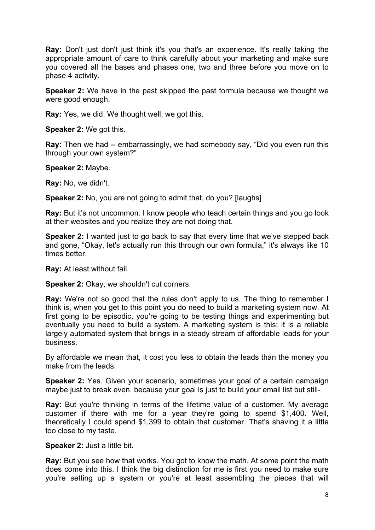**Ray:** Don't just don't just think it's you that's an experience. It's really taking the appropriate amount of care to think carefully about your marketing and make sure you covered all the bases and phases one, two and three before you move on to phase 4 activity.

**Speaker 2:** We have in the past skipped the past formula because we thought we were good enough.

**Ray:** Yes, we did. We thought well, we got this.

**Speaker 2:** We got this.

**Ray:** Then we had -- embarrassingly, we had somebody say, "Did you even run this through your own system?"

**Speaker 2:** Maybe.

**Ray:** No, we didn't.

**Speaker 2:** No, you are not going to admit that, do you? [laughs]

**Ray:** But it's not uncommon. I know people who teach certain things and you go look at their websites and you realize they are not doing that.

**Speaker 2:** I wanted just to go back to say that every time that we've stepped back and gone, "Okay, let's actually run this through our own formula," it's always like 10 times better.

**Ray:** At least without fail.

**Speaker 2:** Okay, we shouldn't cut corners.

**Ray:** We're not so good that the rules don't apply to us. The thing to remember I think is, when you get to this point you do need to build a marketing system now. At first going to be episodic, you're going to be testing things and experimenting but eventually you need to build a system. A marketing system is this; it is a reliable largely automated system that brings in a steady stream of affordable leads for your business.

By affordable we mean that, it cost you less to obtain the leads than the money you make from the leads.

**Speaker 2:** Yes. Given your scenario, sometimes your goal of a certain campaign maybe just to break even, because your goal is just to build your email list but still-

**Ray:** But you're thinking in terms of the lifetime value of a customer. My average customer if there with me for a year they're going to spend \$1,400. Well, theoretically I could spend \$1,399 to obtain that customer. That's shaving it a little too close to my taste.

# **Speaker 2:** Just a little bit.

**Ray:** But you see how that works. You got to know the math. At some point the math does come into this. I think the big distinction for me is first you need to make sure you're setting up a system or you're at least assembling the pieces that will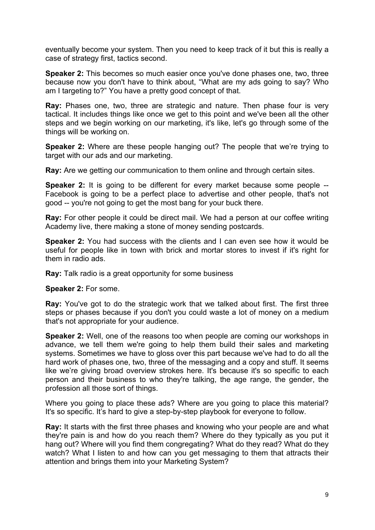eventually become your system. Then you need to keep track of it but this is really a case of strategy first, tactics second.

**Speaker 2:** This becomes so much easier once you've done phases one, two, three because now you don't have to think about, "What are my ads going to say? Who am I targeting to?" You have a pretty good concept of that.

**Ray:** Phases one, two, three are strategic and nature. Then phase four is very tactical. It includes things like once we get to this point and we've been all the other steps and we begin working on our marketing, it's like, let's go through some of the things will be working on.

**Speaker 2:** Where are these people hanging out? The people that we're trying to target with our ads and our marketing.

**Ray:** Are we getting our communication to them online and through certain sites.

**Speaker 2:** It is going to be different for every market because some people --Facebook is going to be a perfect place to advertise and other people, that's not good -- you're not going to get the most bang for your buck there.

**Ray:** For other people it could be direct mail. We had a person at our coffee writing Academy live, there making a stone of money sending postcards.

**Speaker 2:** You had success with the clients and I can even see how it would be useful for people like in town with brick and mortar stores to invest if it's right for them in radio ads.

**Ray:** Talk radio is a great opportunity for some business

**Speaker 2:** For some.

**Ray:** You've got to do the strategic work that we talked about first. The first three steps or phases because if you don't you could waste a lot of money on a medium that's not appropriate for your audience.

**Speaker 2:** Well, one of the reasons too when people are coming our workshops in advance, we tell them we're going to help them build their sales and marketing systems. Sometimes we have to gloss over this part because we've had to do all the hard work of phases one, two, three of the messaging and a copy and stuff. It seems like we're giving broad overview strokes here. It's because it's so specific to each person and their business to who they're talking, the age range, the gender, the profession all those sort of things.

Where you going to place these ads? Where are you going to place this material? It's so specific. It's hard to give a step-by-step playbook for everyone to follow.

**Ray:** It starts with the first three phases and knowing who your people are and what they're pain is and how do you reach them? Where do they typically as you put it hang out? Where will you find them congregating? What do they read? What do they watch? What I listen to and how can you get messaging to them that attracts their attention and brings them into your Marketing System?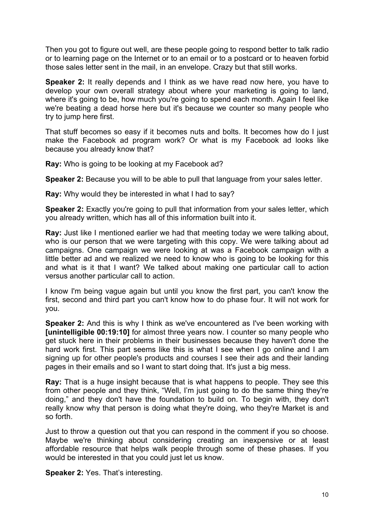Then you got to figure out well, are these people going to respond better to talk radio or to learning page on the Internet or to an email or to a postcard or to heaven forbid those sales letter sent in the mail, in an envelope. Crazy but that still works.

**Speaker 2:** It really depends and I think as we have read now here, you have to develop your own overall strategy about where your marketing is going to land, where it's going to be, how much you're going to spend each month. Again I feel like we're beating a dead horse here but it's because we counter so many people who try to jump here first.

That stuff becomes so easy if it becomes nuts and bolts. It becomes how do I just make the Facebook ad program work? Or what is my Facebook ad looks like because you already know that?

**Ray:** Who is going to be looking at my Facebook ad?

**Speaker 2:** Because you will to be able to pull that language from your sales letter.

**Ray:** Why would they be interested in what I had to say?

**Speaker 2:** Exactly you're going to pull that information from your sales letter, which you already written, which has all of this information built into it.

**Ray:** Just like I mentioned earlier we had that meeting today we were talking about, who is our person that we were targeting with this copy. We were talking about ad campaigns. One campaign we were looking at was a Facebook campaign with a little better ad and we realized we need to know who is going to be looking for this and what is it that I want? We talked about making one particular call to action versus another particular call to action.

I know I'm being vague again but until you know the first part, you can't know the first, second and third part you can't know how to do phase four. It will not work for you.

**Speaker 2:** And this is why I think as we've encountered as I've been working with **[unintelligible 00:19:10]** for almost three years now. I counter so many people who get stuck here in their problems in their businesses because they haven't done the hard work first. This part seems like this is what I see when I go online and I am signing up for other people's products and courses I see their ads and their landing pages in their emails and so I want to start doing that. It's just a big mess.

**Ray:** That is a huge insight because that is what happens to people. They see this from other people and they think, "Well, I'm just going to do the same thing they're doing," and they don't have the foundation to build on. To begin with, they don't really know why that person is doing what they're doing, who they're Market is and so forth.

Just to throw a question out that you can respond in the comment if you so choose. Maybe we're thinking about considering creating an inexpensive or at least affordable resource that helps walk people through some of these phases. If you would be interested in that you could just let us know.

**Speaker 2: Yes. That's interesting.**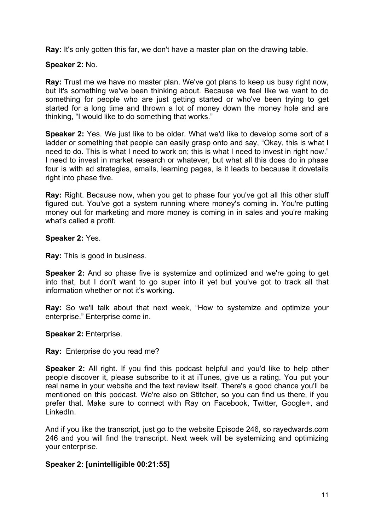**Ray:** It's only gotten this far, we don't have a master plan on the drawing table.

# **Speaker 2:** No.

**Ray:** Trust me we have no master plan. We've got plans to keep us busy right now, but it's something we've been thinking about. Because we feel like we want to do something for people who are just getting started or who've been trying to get started for a long time and thrown a lot of money down the money hole and are thinking, "I would like to do something that works."

**Speaker 2:** Yes. We just like to be older. What we'd like to develop some sort of a ladder or something that people can easily grasp onto and say, "Okay, this is what I need to do. This is what I need to work on; this is what I need to invest in right now." I need to invest in market research or whatever, but what all this does do in phase four is with ad strategies, emails, learning pages, is it leads to because it dovetails right into phase five.

**Ray:** Right. Because now, when you get to phase four you've got all this other stuff figured out. You've got a system running where money's coming in. You're putting money out for marketing and more money is coming in in sales and you're making what's called a profit.

# **Speaker 2:** Yes.

**Ray:** This is good in business.

**Speaker 2:** And so phase five is systemize and optimized and we're going to get into that, but I don't want to go super into it yet but you've got to track all that information whether or not it's working.

**Ray:** So we'll talk about that next week, "How to systemize and optimize your enterprise." Enterprise come in.

# **Speaker 2:** Enterprise.

**Ray:** Enterprise do you read me?

**Speaker 2:** All right. If you find this podcast helpful and you'd like to help other people discover it, please subscribe to it at iTunes, give us a rating. You put your real name in your website and the text review itself. There's a good chance you'll be mentioned on this podcast. We're also on Stitcher, so you can find us there, if you prefer that. Make sure to connect with Ray on Facebook, Twitter, Google+, and LinkedIn.

And if you like the transcript, just go to the website Episode 246*,* so rayedwards.com 246 and you will find the transcript. Next week will be systemizing and optimizing your enterprise.

# **Speaker 2: [unintelligible 00:21:55]**